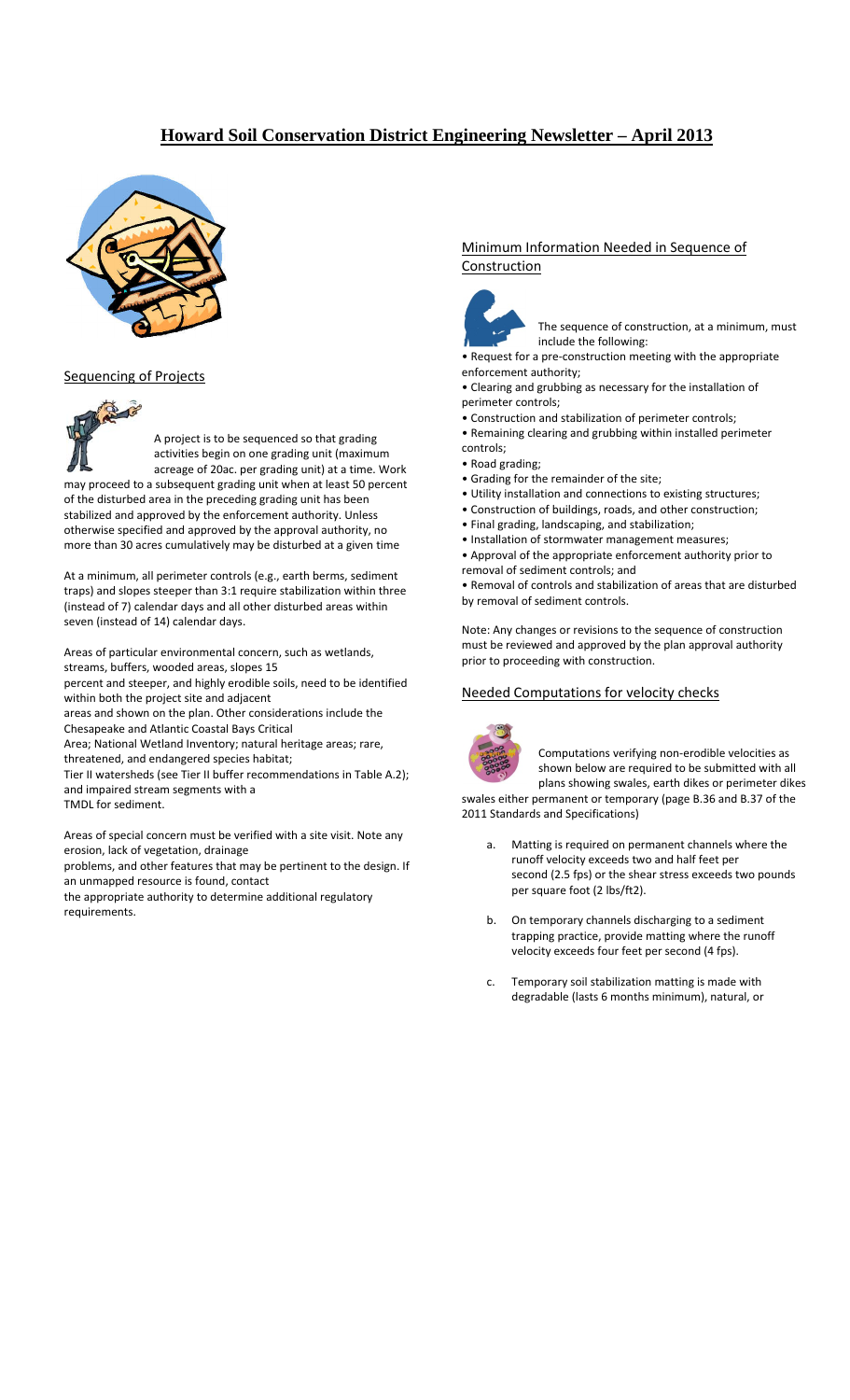# **Howard Soil Conservation District Engineering Newsletter – April 2013**



#### Sequencing of Projects



A project is to be sequenced so that grading activities begin on one grading unit (maximum acreage of 20ac. per grading unit) at a time. Work

may proceed to a subsequent grading unit when at least 50 percent of the disturbed area in the preceding grading unit has been stabilized and approved by the enforcement authority. Unless otherwise specified and approved by the approval authority, no more than 30 acres cumulatively may be disturbed at a given time

At a minimum, all perimeter controls (e.g., earth berms, sediment traps) and slopes steeper than 3:1 require stabilization within three (instead of 7) calendar days and all other disturbed areas within seven (instead of 14) calendar days.

Areas of particular environmental concern, such as wetlands, streams, buffers, wooded areas, slopes 15

percent and steeper, and highly erodible soils, need to be identified within both the project site and adjacent

areas and shown on the plan. Other considerations include the Chesapeake and Atlantic Coastal Bays Critical

Area; National Wetland Inventory; natural heritage areas; rare, threatened, and endangered species habitat;

Tier II watersheds (see Tier II buffer recommendations in Table A.2); and impaired stream segments with a

TMDL for sediment.

Areas of special concern must be verified with a site visit. Note any erosion, lack of vegetation, drainage

problems, and other features that may be pertinent to the design. If an unmapped resource is found, contact

the appropriate authority to determine additional regulatory requirements.

### Minimum Information Needed in Sequence of Construction



The sequence of construction, at a minimum, must include the following:

• Request for a pre‐construction meeting with the appropriate enforcement authority;

• Clearing and grubbing as necessary for the installation of perimeter controls;

• Construction and stabilization of perimeter controls;

- Remaining clearing and grubbing within installed perimeter controls;
- Road grading;
- Grading for the remainder of the site;
- Utility installation and connections to existing structures;
- Construction of buildings, roads, and other construction;
- Final grading, landscaping, and stabilization;
- Installation of stormwater management measures;
- Approval of the appropriate enforcement authority prior to removal of sediment controls; and

• Removal of controls and stabilization of areas that are disturbed by removal of sediment controls.

Note: Any changes or revisions to the sequence of construction must be reviewed and approved by the plan approval authority prior to proceeding with construction.

### Needed Computations for velocity checks



Computations verifying non‐erodible velocities as shown below are required to be submitted with all plans showing swales, earth dikes or perimeter dikes

swales either permanent or temporary (page B.36 and B.37 of the 2011 Standards and Specifications)

- a. Matting is required on permanent channels where the runoff velocity exceeds two and half feet per second (2.5 fps) or the shear stress exceeds two pounds per square foot (2 lbs/ft2).
- b. On temporary channels discharging to a sediment trapping practice, provide matting where the runoff velocity exceeds four feet per second (4 fps).
- c. Temporary soil stabilization matting is made with degradable (lasts 6 months minimum), natural, or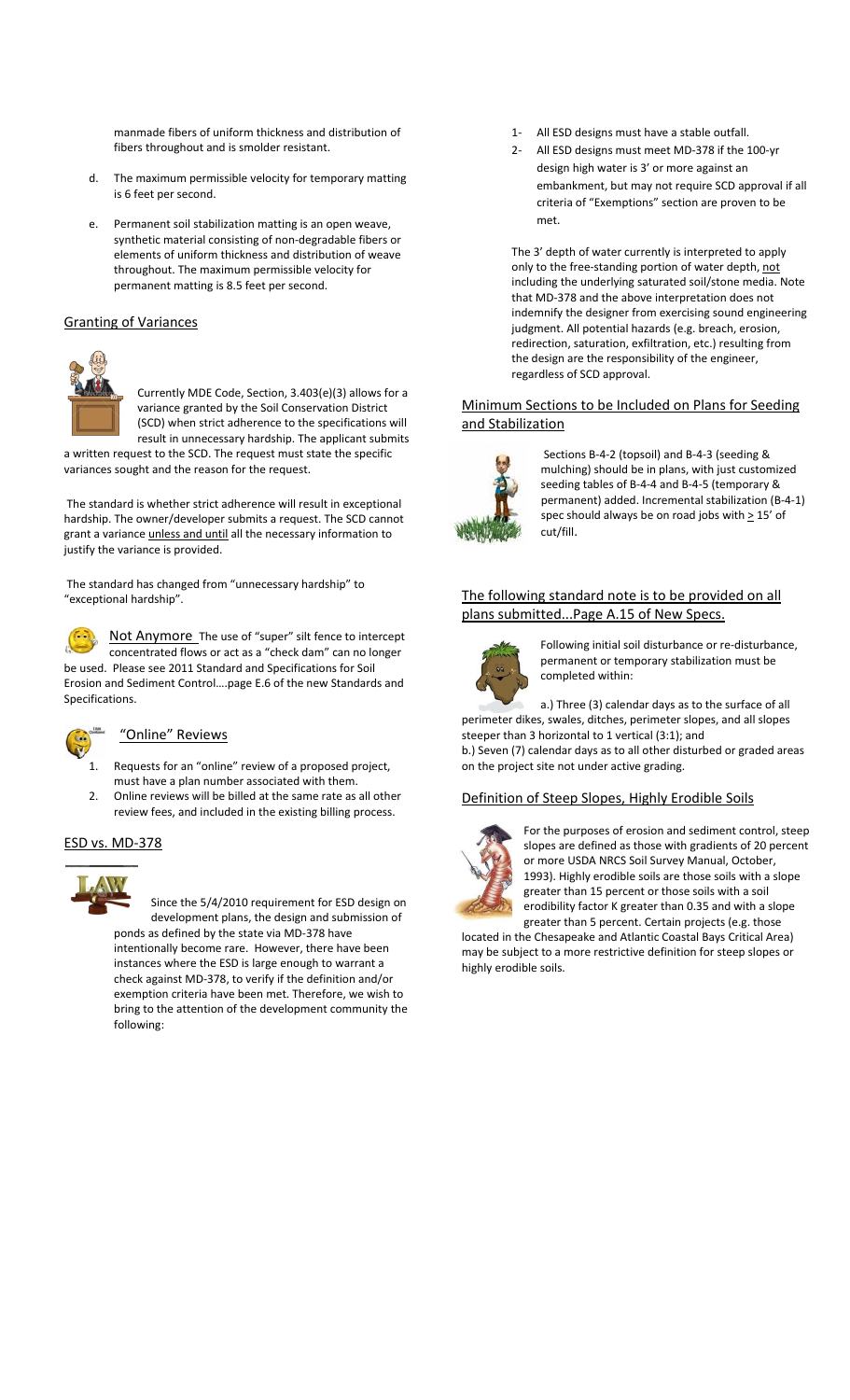manmade fibers of uniform thickness and distribution of fibers throughout and is smolder resistant.

- d. The maximum permissible velocity for temporary matting is 6 feet per second.
- e. Permanent soil stabilization matting is an open weave, synthetic material consisting of non‐degradable fibers or elements of uniform thickness and distribution of weave throughout. The maximum permissible velocity for permanent matting is 8.5 feet per second.

#### Granting of Variances



Currently MDE Code, Section, 3.403(e)(3) allows for a variance granted by the Soil Conservation District (SCD) when strict adherence to the specifications will result in unnecessary hardship. The applicant submits a written request to the SCD. The request must state the specific

variances sought and the reason for the request.

The standard is whether strict adherence will result in exceptional hardship. The owner/developer submits a request. The SCD cannot grant a variance *unless and until* all the necessary information to justify the variance is provided.

The standard has changed from "unnecessary hardship" to "exceptional hardship".



Not Anymore The use of "super" silt fence to intercept concentrated flows or act as a "check dam" can no longer be used. Please see 2011 Standard and Specifications for Soil Erosion and Sediment Control….page E.6 of the new Standards and Specifications.



#### "Online" Reviews

- 1. Requests for an "online" review of a proposed project, must have a plan number associated with them.
- 2. Online reviews will be billed at the same rate as all other review fees, and included in the existing billing process.

#### ESD vs. MD‐378



Since the 5/4/2010 requirement for ESD design on development plans, the design and submission of ponds as defined by the state via MD‐378 have intentionally become rare. However, there have been instances where the ESD is large enough to warrant a check against MD‐378, to verify if the definition and/or exemption criteria have been met. Therefore, we wish to bring to the attention of the development community the following:

- 1‐ All ESD designs must have a stable outfall.
- 2‐ All ESD designs must meet MD‐378 if the 100‐yr design high water is 3' or more against an embankment, but may not require SCD approval if all criteria of "Exemptions" section are proven to be met.

The 3' depth of water currently is interpreted to apply only to the free‐standing portion of water depth, not including the underlying saturated soil/stone media. Note that MD‐378 and the above interpretation does not indemnify the designer from exercising sound engineering judgment. All potential hazards (e.g. breach, erosion, redirection, saturation, exfiltration, etc.) resulting from the design are the responsibility of the engineer, regardless of SCD approval.

### Minimum Sections to be Included on Plans for Seeding and Stabilization



Sections B‐4‐2 (topsoil) and B‐4‐3 (seeding & mulching) should be in plans, with just customized seeding tables of B‐4‐4 and B‐4‐5 (temporary & permanent) added. Incremental stabilization (B‐4‐1) spec should always be on road jobs with > 15' of cut/fill.

### The following standard note is to be provided on all plans submitted...Page A.15 of New Specs.



Following initial soil disturbance or re‐disturbance, permanent or temporary stabilization must be completed within:

a.) Three (3) calendar days as to the surface of all perimeter dikes, swales, ditches, perimeter slopes, and all slopes steeper than 3 horizontal to 1 vertical (3:1); and

b.) Seven (7) calendar days as to all other disturbed or graded areas on the project site not under active grading.

### Definition of Steep Slopes, Highly Erodible Soils



For the purposes of erosion and sediment control, steep slopes are defined as those with gradients of 20 percent or more USDA NRCS Soil Survey Manual, October, 1993). Highly erodible soils are those soils with a slope greater than 15 percent or those soils with a soil erodibility factor K greater than 0.35 and with a slope greater than 5 percent. Certain projects (e.g. those

located in the Chesapeake and Atlantic Coastal Bays Critical Area) may be subject to a more restrictive definition for steep slopes or highly erodible soils.